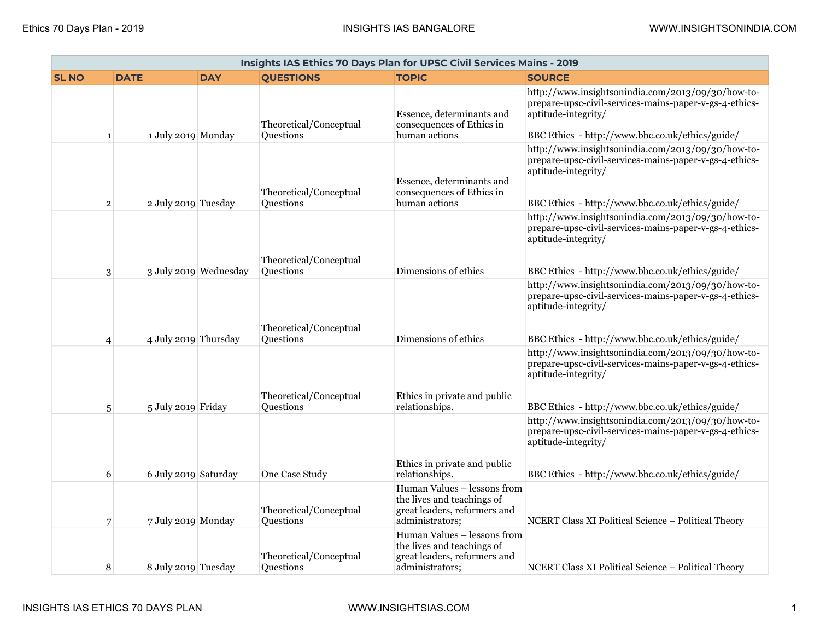| Insights IAS Ethics 70 Days Plan for UPSC Civil Services Mains - 2019 |                      |                       |                                     |                                                                                                              |                                                                                                                                                                                       |  |  |
|-----------------------------------------------------------------------|----------------------|-----------------------|-------------------------------------|--------------------------------------------------------------------------------------------------------------|---------------------------------------------------------------------------------------------------------------------------------------------------------------------------------------|--|--|
| <b>SL NO</b>                                                          | <b>DATE</b>          | <b>DAY</b>            | <b>QUESTIONS</b>                    | <b>TOPIC</b>                                                                                                 | <b>SOURCE</b>                                                                                                                                                                         |  |  |
| $\mathbf{1}$                                                          | 1 July 2019 Monday   |                       | Theoretical/Conceptual<br>Questions | Essence, determinants and<br>consequences of Ethics in<br>human actions                                      | http://www.insightsonindia.com/2013/09/30/how-to-<br>prepare-upsc-civil-services-mains-paper-v-gs-4-ethics-<br>aptitude-integrity/<br>BBC Ethics - http://www.bbc.co.uk/ethics/guide/ |  |  |
| $\overline{\mathbf{2}}$                                               | 2 July 2019 Tuesday  |                       | Theoretical/Conceptual<br>Questions | Essence, determinants and<br>consequences of Ethics in<br>human actions                                      | http://www.insightsonindia.com/2013/09/30/how-to-<br>prepare-upsc-civil-services-mains-paper-v-gs-4-ethics-<br>aptitude-integrity/<br>BBC Ethics - http://www.bbc.co.uk/ethics/guide/ |  |  |
| 3                                                                     |                      | 3 July 2019 Wednesday | Theoretical/Conceptual<br>Questions | Dimensions of ethics                                                                                         | http://www.insightsonindia.com/2013/09/30/how-to-<br>prepare-upsc-civil-services-mains-paper-v-gs-4-ethics-<br>aptitude-integrity/<br>BBC Ethics - http://www.bbc.co.uk/ethics/guide/ |  |  |
| $\overline{4}$                                                        | 4 July 2019 Thursday |                       | Theoretical/Conceptual<br>Questions | Dimensions of ethics                                                                                         | http://www.insightsonindia.com/2013/09/30/how-to-<br>prepare-upsc-civil-services-mains-paper-v-gs-4-ethics-<br>aptitude-integrity/<br>BBC Ethics - http://www.bbc.co.uk/ethics/guide/ |  |  |
| 5                                                                     | 5 July 2019 Friday   |                       | Theoretical/Conceptual<br>Questions | Ethics in private and public<br>relationships.                                                               | http://www.insightsonindia.com/2013/09/30/how-to-<br>prepare-upsc-civil-services-mains-paper-v-gs-4-ethics-<br>aptitude-integrity/<br>BBC Ethics - http://www.bbc.co.uk/ethics/guide/ |  |  |
| 6                                                                     | 6 July 2019 Saturday |                       | One Case Study                      | Ethics in private and public<br>relationships.                                                               | http://www.insightsonindia.com/2013/09/30/how-to-<br>prepare-upsc-civil-services-mains-paper-v-gs-4-ethics-<br>aptitude-integrity/<br>BBC Ethics - http://www.bbc.co.uk/ethics/guide/ |  |  |
| 7                                                                     | 7 July 2019 Monday   |                       | Theoretical/Conceptual<br>Questions | Human Values - lessons from<br>the lives and teachings of<br>great leaders, reformers and<br>administrators; | NCERT Class XI Political Science - Political Theory                                                                                                                                   |  |  |
| 8                                                                     | 8 July 2019 Tuesday  |                       | Theoretical/Conceptual<br>Questions | Human Values - lessons from<br>the lives and teachings of<br>great leaders, reformers and<br>administrators; | NCERT Class XI Political Science - Political Theory                                                                                                                                   |  |  |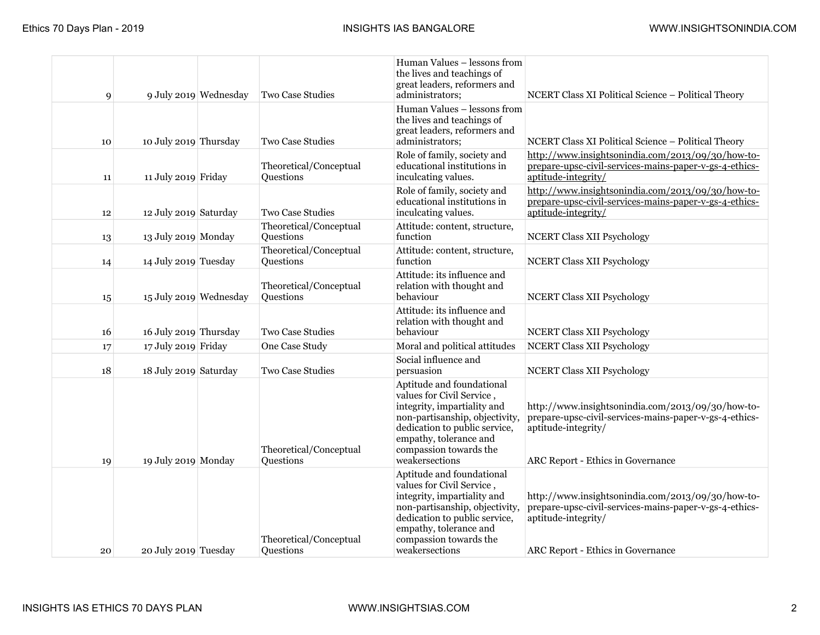| 9  |                        | 9 July 2019 Wednesday | <b>Two Case Studies</b>             | Human Values - lessons from<br>the lives and teachings of<br>great leaders, reformers and<br>administrators;                                                                                                                   | NCERT Class XI Political Science - Political Theory                                                                                                                     |
|----|------------------------|-----------------------|-------------------------------------|--------------------------------------------------------------------------------------------------------------------------------------------------------------------------------------------------------------------------------|-------------------------------------------------------------------------------------------------------------------------------------------------------------------------|
| 10 | 10 July 2019 Thursday  |                       | <b>Two Case Studies</b>             | Human Values - lessons from<br>the lives and teachings of<br>great leaders, reformers and<br>administrators;                                                                                                                   | NCERT Class XI Political Science - Political Theory                                                                                                                     |
| 11 | 11 July 2019 Friday    |                       | Theoretical/Conceptual<br>Questions | Role of family, society and<br>educational institutions in<br>inculcating values.                                                                                                                                              | http://www.insightsonindia.com/2013/09/30/how-to-<br>prepare-upsc-civil-services-mains-paper-v-gs-4-ethics-<br>aptitude-integrity/                                      |
| 12 | 12 July 2019 Saturday  |                       | Two Case Studies                    | Role of family, society and<br>educational institutions in<br>inculcating values.                                                                                                                                              | http://www.insightsonindia.com/2013/09/30/how-to-<br>prepare-upsc-civil-services-mains-paper-v-gs-4-ethics-<br>aptitude-integrity/                                      |
| 13 | 13 July 2019 Monday    |                       | Theoretical/Conceptual<br>Questions | Attitude: content, structure,<br>function                                                                                                                                                                                      | <b>NCERT Class XII Psychology</b>                                                                                                                                       |
| 14 | 14 July 2019 Tuesday   |                       | Theoretical/Conceptual<br>Questions | Attitude: content, structure,<br>function                                                                                                                                                                                      | <b>NCERT Class XII Psychology</b>                                                                                                                                       |
| 15 | 15 July 2019 Wednesday |                       | Theoretical/Conceptual<br>Questions | Attitude: its influence and<br>relation with thought and<br>behaviour                                                                                                                                                          | <b>NCERT Class XII Psychology</b>                                                                                                                                       |
| 16 | 16 July 2019 Thursday  |                       | <b>Two Case Studies</b>             | Attitude: its influence and<br>relation with thought and<br>behaviour                                                                                                                                                          | <b>NCERT Class XII Psychology</b>                                                                                                                                       |
| 17 | 17 July 2019 Friday    |                       | One Case Study                      | Moral and political attitudes                                                                                                                                                                                                  | <b>NCERT Class XII Psychology</b>                                                                                                                                       |
| 18 | 18 July 2019 Saturday  |                       | <b>Two Case Studies</b>             | Social influence and<br>persuasion                                                                                                                                                                                             | <b>NCERT Class XII Psychology</b>                                                                                                                                       |
| 19 | 19 July 2019 Monday    |                       | Theoretical/Conceptual<br>Questions | Aptitude and foundational<br>values for Civil Service,<br>integrity, impartiality and<br>non-partisanship, objectivity,<br>dedication to public service,<br>empathy, tolerance and<br>compassion towards the<br>weakersections | http://www.insightsonindia.com/2013/09/30/how-to-<br>prepare-upsc-civil-services-mains-paper-v-gs-4-ethics-<br>aptitude-integrity/<br>ARC Report - Ethics in Governance |
| 20 | 20 July 2019 Tuesday   |                       | Theoretical/Conceptual<br>Questions | Aptitude and foundational<br>values for Civil Service,<br>integrity, impartiality and<br>non-partisanship, objectivity,<br>dedication to public service,<br>empathy, tolerance and<br>compassion towards the<br>weakersections | http://www.insightsonindia.com/2013/09/30/how-to-<br>prepare-upsc-civil-services-mains-paper-v-gs-4-ethics-<br>aptitude-integrity/<br>ARC Report - Ethics in Governance |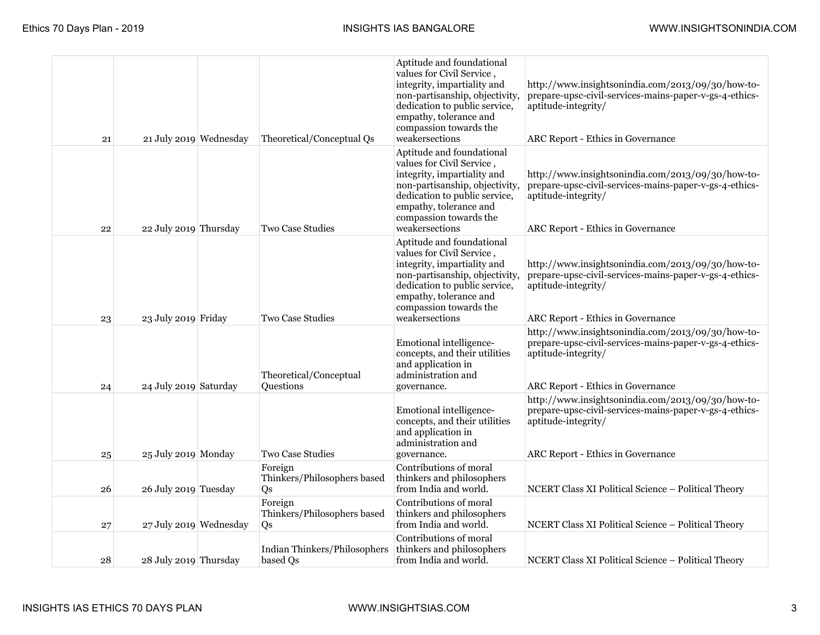| 21 | 21 July 2019 Wednesday | Theoretical/Conceptual Qs                    | Aptitude and foundational<br>values for Civil Service,<br>integrity, impartiality and<br>non-partisanship, objectivity,<br>dedication to public service,<br>empathy, tolerance and<br>compassion towards the<br>weakersections | http://www.insightsonindia.com/2013/09/30/how-to-<br>prepare-upsc-civil-services-mains-paper-v-gs-4-ethics-<br>aptitude-integrity/<br>ARC Report - Ethics in Governance |
|----|------------------------|----------------------------------------------|--------------------------------------------------------------------------------------------------------------------------------------------------------------------------------------------------------------------------------|-------------------------------------------------------------------------------------------------------------------------------------------------------------------------|
| 22 | 22 July 2019 Thursday  | <b>Two Case Studies</b>                      | Aptitude and foundational<br>values for Civil Service,<br>integrity, impartiality and<br>non-partisanship, objectivity,<br>dedication to public service,<br>empathy, tolerance and<br>compassion towards the<br>weakersections | http://www.insightsonindia.com/2013/09/30/how-to-<br>prepare-upsc-civil-services-mains-paper-v-gs-4-ethics-<br>aptitude-integrity/<br>ARC Report - Ethics in Governance |
| 23 | 23 July 2019 Friday    | <b>Two Case Studies</b>                      | Aptitude and foundational<br>values for Civil Service,<br>integrity, impartiality and<br>non-partisanship, objectivity,<br>dedication to public service,<br>empathy, tolerance and<br>compassion towards the<br>weakersections | http://www.insightsonindia.com/2013/09/30/how-to-<br>prepare-upsc-civil-services-mains-paper-v-gs-4-ethics-<br>aptitude-integrity/<br>ARC Report - Ethics in Governance |
| 24 | 24 July 2019 Saturday  | Theoretical/Conceptual<br>Questions          | Emotional intelligence-<br>concepts, and their utilities<br>and application in<br>administration and<br>governance.                                                                                                            | http://www.insightsonindia.com/2013/09/30/how-to-<br>prepare-upsc-civil-services-mains-paper-v-gs-4-ethics-<br>aptitude-integrity/<br>ARC Report - Ethics in Governance |
| 25 | 25 July 2019 Monday    | <b>Two Case Studies</b>                      | Emotional intelligence-<br>concepts, and their utilities<br>and application in<br>administration and<br>governance.                                                                                                            | http://www.insightsonindia.com/2013/09/30/how-to-<br>prepare-upsc-civil-services-mains-paper-v-gs-4-ethics-<br>aptitude-integrity/<br>ARC Report - Ethics in Governance |
| 26 | 26 July 2019 Tuesday   | Foreign<br>Thinkers/Philosophers based<br>Qs | Contributions of moral<br>thinkers and philosophers<br>from India and world.                                                                                                                                                   | NCERT Class XI Political Science - Political Theory                                                                                                                     |
| 27 | 27 July 2019 Wednesday | Foreign<br>Thinkers/Philosophers based<br>Qs | Contributions of moral<br>thinkers and philosophers<br>from India and world.                                                                                                                                                   | NCERT Class XI Political Science - Political Theory                                                                                                                     |
| 28 | 28 July 2019 Thursday  | Indian Thinkers/Philosophers<br>based Qs     | Contributions of moral<br>thinkers and philosophers<br>from India and world.                                                                                                                                                   | NCERT Class XI Political Science - Political Theory                                                                                                                     |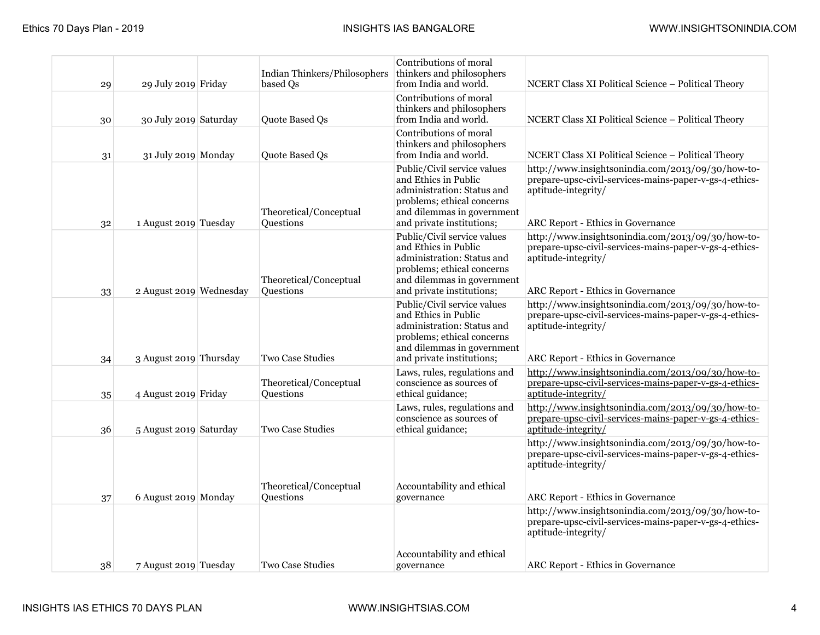| 29 | 29 July 2019 Friday     | Indian Thinkers/Philosophers<br>based Qs | Contributions of moral<br>thinkers and philosophers<br>from India and world.                                                                                               | NCERT Class XI Political Science - Political Theory                                                                                                                     |
|----|-------------------------|------------------------------------------|----------------------------------------------------------------------------------------------------------------------------------------------------------------------------|-------------------------------------------------------------------------------------------------------------------------------------------------------------------------|
| 30 | 30 July 2019 Saturday   | Quote Based Qs                           | Contributions of moral<br>thinkers and philosophers<br>from India and world.                                                                                               | NCERT Class XI Political Science - Political Theory                                                                                                                     |
| 31 | 31 July 2019 Monday     | Quote Based Qs                           | Contributions of moral<br>thinkers and philosophers<br>from India and world.                                                                                               | NCERT Class XI Political Science - Political Theory                                                                                                                     |
| 32 | 1 August 2019 Tuesday   | Theoretical/Conceptual<br>Questions      | Public/Civil service values<br>and Ethics in Public<br>administration: Status and<br>problems; ethical concerns<br>and dilemmas in government<br>and private institutions; | http://www.insightsonindia.com/2013/09/30/how-to-<br>prepare-upsc-civil-services-mains-paper-v-gs-4-ethics-<br>aptitude-integrity/<br>ARC Report - Ethics in Governance |
| 33 | 2 August 2019 Wednesday | Theoretical/Conceptual<br>Questions      | Public/Civil service values<br>and Ethics in Public<br>administration: Status and<br>problems; ethical concerns<br>and dilemmas in government<br>and private institutions; | http://www.insightsonindia.com/2013/09/30/how-to-<br>prepare-upsc-civil-services-mains-paper-v-gs-4-ethics-<br>aptitude-integrity/<br>ARC Report - Ethics in Governance |
| 34 | 3 August 2019 Thursday  | <b>Two Case Studies</b>                  | Public/Civil service values<br>and Ethics in Public<br>administration: Status and<br>problems; ethical concerns<br>and dilemmas in government<br>and private institutions; | http://www.insightsonindia.com/2013/09/30/how-to-<br>prepare-upsc-civil-services-mains-paper-v-gs-4-ethics-<br>aptitude-integrity/<br>ARC Report - Ethics in Governance |
| 35 | 4 August 2019 Friday    | Theoretical/Conceptual<br>Questions      | Laws, rules, regulations and<br>conscience as sources of<br>ethical guidance;                                                                                              | http://www.insightsonindia.com/2013/09/30/how-to-<br>prepare-upsc-civil-services-mains-paper-v-gs-4-ethics-<br>aptitude-integrity/                                      |
| 36 | 5 August 2019 Saturday  | Two Case Studies                         | Laws, rules, regulations and<br>conscience as sources of<br>ethical guidance;                                                                                              | http://www.insightsonindia.com/2013/09/30/how-to-<br>prepare-upsc-civil-services-mains-paper-v-gs-4-ethics-<br>aptitude-integrity/                                      |
| 37 | 6 August 2019 Monday    | Theoretical/Conceptual<br>Questions      | Accountability and ethical<br>governance                                                                                                                                   | http://www.insightsonindia.com/2013/09/30/how-to-<br>prepare-upsc-civil-services-mains-paper-v-gs-4-ethics-<br>aptitude-integrity/<br>ARC Report - Ethics in Governance |
|    |                         |                                          | Accountability and ethical                                                                                                                                                 | http://www.insightsonindia.com/2013/09/30/how-to-<br>prepare-upsc-civil-services-mains-paper-v-gs-4-ethics-<br>aptitude-integrity/                                      |
| 38 | 7 August 2019 Tuesday   | <b>Two Case Studies</b>                  | governance                                                                                                                                                                 | ARC Report - Ethics in Governance                                                                                                                                       |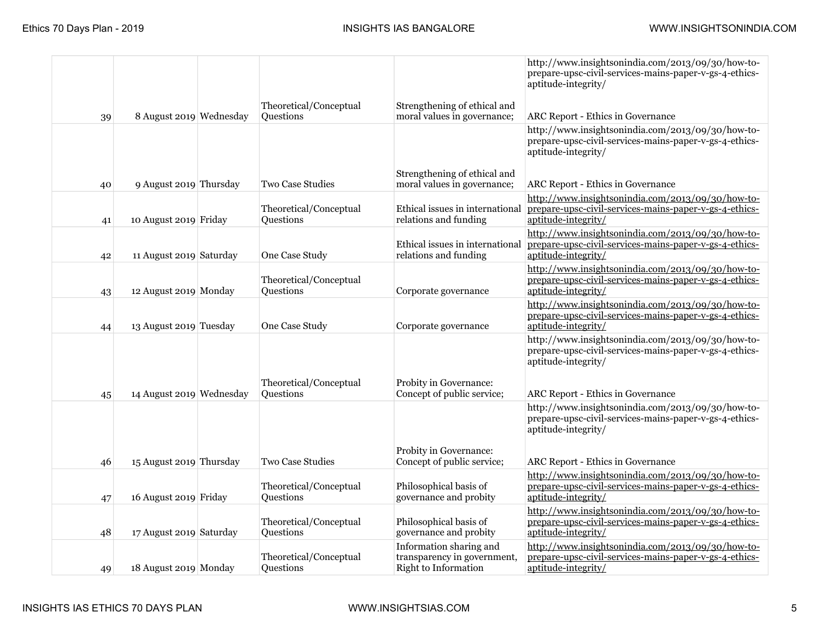|    |                          |                                     |                                                                                | http://www.insightsonindia.com/2013/09/30/how-to-<br>prepare-upsc-civil-services-mains-paper-v-gs-4-ethics-<br>aptitude-integrity/                                      |
|----|--------------------------|-------------------------------------|--------------------------------------------------------------------------------|-------------------------------------------------------------------------------------------------------------------------------------------------------------------------|
| 39 | 8 August 2019 Wednesday  | Theoretical/Conceptual<br>Questions | Strengthening of ethical and<br>moral values in governance;                    | ARC Report - Ethics in Governance                                                                                                                                       |
|    |                          |                                     |                                                                                | http://www.insightsonindia.com/2013/09/30/how-to-<br>prepare-upsc-civil-services-mains-paper-v-gs-4-ethics-<br>aptitude-integrity/                                      |
| 40 | 9 August 2019 Thursday   | <b>Two Case Studies</b>             | Strengthening of ethical and<br>moral values in governance;                    | <b>ARC Report - Ethics in Governance</b>                                                                                                                                |
| 41 | 10 August 2019 Friday    | Theoretical/Conceptual<br>Questions | Ethical issues in international<br>relations and funding                       | http://www.insightsonindia.com/2013/09/30/how-to-<br>prepare-upsc-civil-services-mains-paper-v-gs-4-ethics-<br>aptitude-integrity/                                      |
| 42 | 11 August 2019 Saturday  | One Case Study                      | Ethical issues in international<br>relations and funding                       | http://www.insightsonindia.com/2013/09/30/how-to-<br>prepare-upsc-civil-services-mains-paper-v-gs-4-ethics-<br>aptitude-integrity/                                      |
| 43 | 12 August 2019 Monday    | Theoretical/Conceptual<br>Questions | Corporate governance                                                           | http://www.insightsonindia.com/2013/09/30/how-to-<br>prepare-upsc-civil-services-mains-paper-v-gs-4-ethics-<br>aptitude-integrity/                                      |
| 44 | 13 August 2019 Tuesday   | One Case Study                      | Corporate governance                                                           | http://www.insightsonindia.com/2013/09/30/how-to-<br>prepare-upsc-civil-services-mains-paper-v-gs-4-ethics-<br>aptitude-integrity/                                      |
| 45 | 14 August 2019 Wednesday | Theoretical/Conceptual<br>Questions | Probity in Governance:<br>Concept of public service;                           | http://www.insightsonindia.com/2013/09/30/how-to-<br>prepare-upsc-civil-services-mains-paper-v-gs-4-ethics-<br>aptitude-integrity/<br>ARC Report - Ethics in Governance |
|    |                          |                                     | Probity in Governance:                                                         | http://www.insightsonindia.com/2013/09/30/how-to-<br>prepare-upsc-civil-services-mains-paper-v-gs-4-ethics-<br>aptitude-integrity/                                      |
| 46 | 15 August 2019 Thursday  | Two Case Studies                    | Concept of public service;                                                     | ARC Report - Ethics in Governance<br>http://www.insightsonindia.com/2013/09/30/how-to-                                                                                  |
| 47 | 16 August 2019 Friday    | Theoretical/Conceptual<br>Questions | Philosophical basis of<br>governance and probity                               | prepare-upsc-civil-services-mains-paper-v-gs-4-ethics-<br>aptitude-integrity/                                                                                           |
| 48 | 17 August 2019 Saturday  | Theoretical/Conceptual<br>Questions | Philosophical basis of<br>governance and probity                               | http://www.insightsonindia.com/2013/09/30/how-to-<br>prepare-upsc-civil-services-mains-paper-v-gs-4-ethics-<br>aptitude-integrity/                                      |
| 49 | 18 August 2019 Monday    | Theoretical/Conceptual<br>Questions | Information sharing and<br>transparency in government,<br>Right to Information | http://www.insightsonindia.com/2013/09/30/how-to-<br>prepare-upsc-civil-services-mains-paper-v-gs-4-ethics-<br>aptitude-integrity/                                      |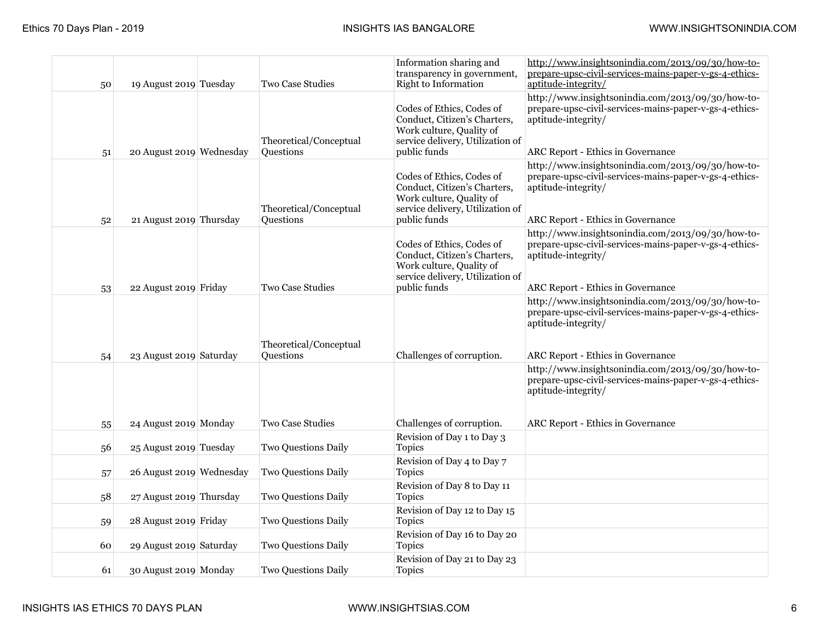| 50 | 19 August 2019 Tuesday   | Two Case Studies                    | Information sharing and<br>transparency in government,<br><b>Right to Information</b>                                                     | http://www.insightsonindia.com/2013/09/30/how-to-<br>prepare-upsc-civil-services-mains-paper-v-gs-4-ethics-<br>aptitude-integrity/                                             |
|----|--------------------------|-------------------------------------|-------------------------------------------------------------------------------------------------------------------------------------------|--------------------------------------------------------------------------------------------------------------------------------------------------------------------------------|
| 51 | 20 August 2019 Wednesday | Theoretical/Conceptual<br>Questions | Codes of Ethics, Codes of<br>Conduct, Citizen's Charters,<br>Work culture, Quality of<br>service delivery, Utilization of<br>public funds | http://www.insightsonindia.com/2013/09/30/how-to-<br>prepare-upsc-civil-services-mains-paper-v-gs-4-ethics-<br>aptitude-integrity/<br><b>ARC Report - Ethics in Governance</b> |
| 52 | 21 August 2019 Thursday  | Theoretical/Conceptual<br>Questions | Codes of Ethics, Codes of<br>Conduct, Citizen's Charters,<br>Work culture, Quality of<br>service delivery, Utilization of<br>public funds | http://www.insightsonindia.com/2013/09/30/how-to-<br>prepare-upsc-civil-services-mains-paper-v-gs-4-ethics-<br>aptitude-integrity/<br><b>ARC Report - Ethics in Governance</b> |
| 53 | 22 August 2019 Friday    | <b>Two Case Studies</b>             | Codes of Ethics, Codes of<br>Conduct, Citizen's Charters,<br>Work culture, Quality of<br>service delivery, Utilization of<br>public funds | http://www.insightsonindia.com/2013/09/30/how-to-<br>prepare-upsc-civil-services-mains-paper-v-gs-4-ethics-<br>aptitude-integrity/<br><b>ARC Report - Ethics in Governance</b> |
| 54 | 23 August 2019 Saturday  | Theoretical/Conceptual<br>Questions | Challenges of corruption.                                                                                                                 | http://www.insightsonindia.com/2013/09/30/how-to-<br>prepare-upsc-civil-services-mains-paper-v-gs-4-ethics-<br>aptitude-integrity/<br><b>ARC Report - Ethics in Governance</b> |
| 55 | 24 August 2019 Monday    | Two Case Studies                    | Challenges of corruption.                                                                                                                 | http://www.insightsonindia.com/2013/09/30/how-to-<br>prepare-upsc-civil-services-mains-paper-v-gs-4-ethics-<br>aptitude-integrity/<br><b>ARC Report - Ethics in Governance</b> |
| 56 | 25 August 2019 Tuesday   | Two Questions Daily                 | Revision of Day 1 to Day 3<br><b>Topics</b>                                                                                               |                                                                                                                                                                                |
| 57 | 26 August 2019 Wednesday | Two Questions Daily                 | Revision of Day 4 to Day 7<br><b>Topics</b>                                                                                               |                                                                                                                                                                                |
| 58 | 27 August 2019 Thursday  | Two Questions Daily                 | Revision of Day 8 to Day 11<br><b>Topics</b>                                                                                              |                                                                                                                                                                                |
| 59 | 28 August 2019 Friday    | <b>Two Questions Daily</b>          | Revision of Day 12 to Day 15<br><b>Topics</b>                                                                                             |                                                                                                                                                                                |
| 60 | 29 August 2019 Saturday  | Two Questions Daily                 | Revision of Day 16 to Day 20<br><b>Topics</b>                                                                                             |                                                                                                                                                                                |
| 61 | 30 August 2019 Monday    | <b>Two Questions Daily</b>          | Revision of Day 21 to Day 23<br><b>Topics</b>                                                                                             |                                                                                                                                                                                |